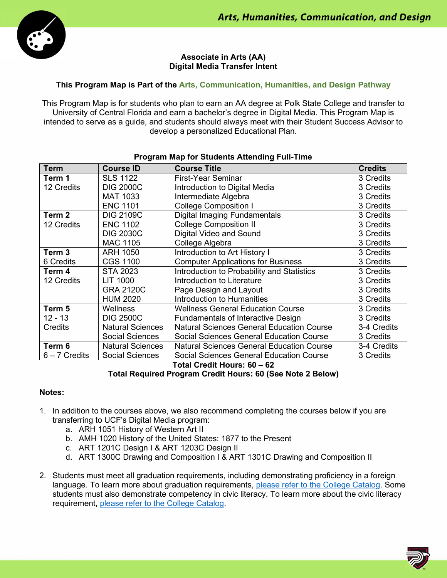

# **Associate in Arts (AA) Digital Media Transfer Intent**

# **This Program Map is Part of the Arts, Communication, Humanities, and Design Pathway**

This Program Map is for students who plan to earn an AA degree at Polk State College and transfer to University of Central Florida and earn a bachelor's degree in Digital Media. This Program Map is intended to serve as a guide, and students should always meet with their Student Success Advisor to develop a personalized Educational Plan.

| <b>Term</b>       | <b>Course ID</b>        | <b>Course Title</b>                              | <b>Credits</b> |
|-------------------|-------------------------|--------------------------------------------------|----------------|
| Term 1            | <b>SLS 1122</b>         | <b>First-Year Seminar</b>                        | 3 Credits      |
| 12 Credits        | <b>DIG 2000C</b>        | Introduction to Digital Media                    | 3 Credits      |
|                   | <b>MAT 1033</b>         | Intermediate Algebra                             | 3 Credits      |
|                   | <b>ENC 1101</b>         | <b>College Composition I</b>                     | 3 Credits      |
| Term 2            | <b>DIG 2109C</b>        | <b>Digital Imaging Fundamentals</b>              | 3 Credits      |
| 12 Credits        | <b>ENC 1102</b>         | <b>College Composition II</b>                    | 3 Credits      |
|                   | <b>DIG 2030C</b>        | Digital Video and Sound                          | 3 Credits      |
|                   | <b>MAC 1105</b>         | College Algebra                                  | 3 Credits      |
| Term <sub>3</sub> | <b>ARH 1050</b>         | Introduction to Art History I                    | 3 Credits      |
| 6 Credits         | <b>CGS 1100</b>         | <b>Computer Applications for Business</b>        | 3 Credits      |
| Term 4            | <b>STA 2023</b>         | Introduction to Probability and Statistics       | 3 Credits      |
| 12 Credits        | LIT 1000                | Introduction to Literature                       | 3 Credits      |
|                   | <b>GRA 2120C</b>        | Page Design and Layout                           | 3 Credits      |
|                   | <b>HUM 2020</b>         | Introduction to Humanities                       | 3 Credits      |
| Term 5            | Wellness                | <b>Wellness General Education Course</b>         | 3 Credits      |
| $12 - 13$         | <b>DIG 2500C</b>        | <b>Fundamentals of Interactive Design</b>        | 3 Credits      |
| Credits           | <b>Natural Sciences</b> | <b>Natural Sciences General Education Course</b> | 3-4 Credits    |
|                   | <b>Social Sciences</b>  | <b>Social Sciences General Education Course</b>  | 3 Credits      |
| Term 6            | <b>Natural Sciences</b> | <b>Natural Sciences General Education Course</b> | 3-4 Credits    |
| $6 - 7$ Credits   | <b>Social Sciences</b>  | <b>Social Sciences General Education Course</b>  | 3 Credits      |

### **Program Map for Students Attending Full-Time**

**Total Credit Hours: 60 – 62**

# **Total Required Program Credit Hours: 60 (See Note 2 Below)**

#### **Notes:**

- 1. In addition to the courses above, we also recommend completing the courses below if you are transferring to UCF's Digital Media program:
	- a. ARH 1051 History of Western Art II
	- b. AMH 1020 History of the United States: 1877 to the Present
	- c. ART 1201C Design I & ART 1203C Design II
	- d. ART 1300C Drawing and Composition I & ART 1301C Drawing and Composition II
- 2. Students must meet all graduation requirements, including demonstrating proficiency in a foreign language. To learn more about graduation requirements, please refer to the College Catalog. Some students must also demonstrate competency in civic literacy. To learn more about the civic literacy requirement, please refer to the College Catalog.

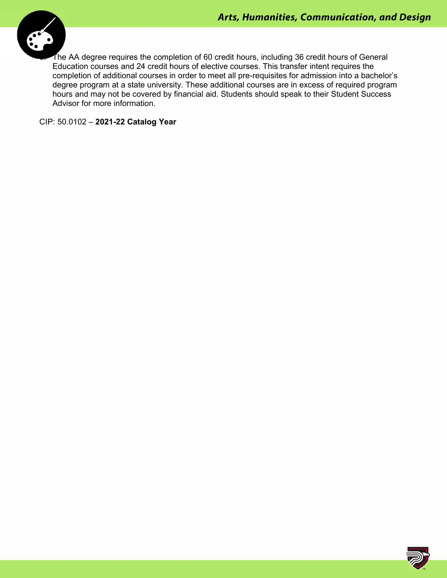

The AA degree requires the completion of 60 credit hours, including 36 credit hours of General Education courses and 24 credit hours of elective courses. This transfer intent requires the completion of additional courses in order to meet all pre-requisites for admission into a bachelor's degree program at a state university. These additional courses are in excess of required program hours and may not be covered by financial aid. Students should speak to their Student Success Advisor for more information.

CIP: 50.0102 – **2021-22 Catalog Year**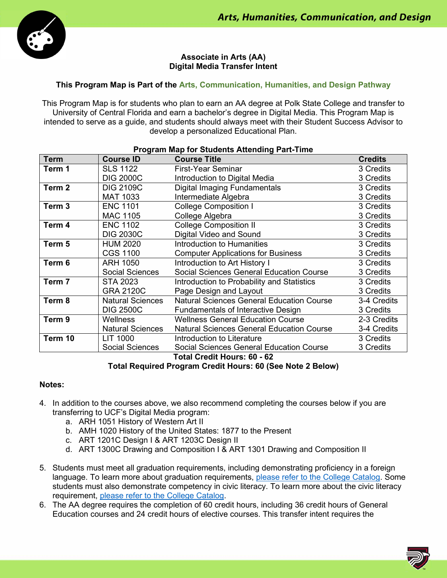

# **Associate in Arts (AA) Digital Media Transfer Intent**

# **This Program Map is Part of the Arts, Communication, Humanities, and Design Pathway**

This Program Map is for students who plan to earn an AA degree at Polk State College and transfer to University of Central Florida and earn a bachelor's degree in Digital Media. This Program Map is intended to serve as a guide, and students should always meet with their Student Success Advisor to develop a personalized Educational Plan.

| <b>Program Map for Students Attending Part-Time</b> |                         |                                                  |                |  |
|-----------------------------------------------------|-------------------------|--------------------------------------------------|----------------|--|
| <b>Term</b>                                         | <b>Course ID</b>        | <b>Course Title</b>                              | <b>Credits</b> |  |
| Term 1                                              | <b>SLS 1122</b>         | <b>First-Year Seminar</b>                        | 3 Credits      |  |
|                                                     | <b>DIG 2000C</b>        | Introduction to Digital Media                    | 3 Credits      |  |
| Term 2                                              | <b>DIG 2109C</b>        | <b>Digital Imaging Fundamentals</b>              | 3 Credits      |  |
|                                                     | <b>MAT 1033</b>         | Intermediate Algebra                             | 3 Credits      |  |
| Term <sub>3</sub>                                   | <b>ENC 1101</b>         | <b>College Composition I</b>                     | 3 Credits      |  |
|                                                     | <b>MAC 1105</b>         | College Algebra                                  | 3 Credits      |  |
| Term 4                                              | <b>ENC 1102</b>         | <b>College Composition II</b>                    | 3 Credits      |  |
|                                                     | <b>DIG 2030C</b>        | Digital Video and Sound                          | 3 Credits      |  |
| Term 5                                              | <b>HUM 2020</b>         | <b>Introduction to Humanities</b>                | 3 Credits      |  |
|                                                     | <b>CGS 1100</b>         | <b>Computer Applications for Business</b>        | 3 Credits      |  |
| Term 6                                              | <b>ARH 1050</b>         | Introduction to Art History I                    | 3 Credits      |  |
|                                                     | <b>Social Sciences</b>  | <b>Social Sciences General Education Course</b>  | 3 Credits      |  |
| Term 7                                              | <b>STA 2023</b>         | Introduction to Probability and Statistics       | 3 Credits      |  |
|                                                     | <b>GRA 2120C</b>        | Page Design and Layout                           | 3 Credits      |  |
| Term 8                                              | <b>Natural Sciences</b> | <b>Natural Sciences General Education Course</b> | 3-4 Credits    |  |
|                                                     | <b>DIG 2500C</b>        | Fundamentals of Interactive Design               | 3 Credits      |  |
| Term 9                                              | Wellness                | <b>Wellness General Education Course</b>         | 2-3 Credits    |  |
|                                                     | <b>Natural Sciences</b> | <b>Natural Sciences General Education Course</b> | 3-4 Credits    |  |
| Term 10                                             | LIT 1000                | <b>Introduction to Literature</b>                | 3 Credits      |  |
|                                                     | <b>Social Sciences</b>  | <b>Social Sciences General Education Course</b>  | 3 Credits      |  |

**Total Credit Hours: 60 - 62**

**Total Required Program Credit Hours: 60 (See Note 2 Below)**

#### **Notes:**

- 4. In addition to the courses above, we also recommend completing the courses below if you are transferring to UCF's Digital Media program:
	- a. ARH 1051 History of Western Art II
	- b. AMH 1020 History of the United States: 1877 to the Present
	- c. ART 1201C Design I & ART 1203C Design II
	- d. ART 1300C Drawing and Composition I & ART 1301 Drawing and Composition II
- 5. Students must meet all graduation requirements, including demonstrating proficiency in a foreign language. To learn more about graduation requirements, please refer to the College Catalog. Some students must also demonstrate competency in civic literacy. To learn more about the civic literacy requirement, please refer to the College Catalog.
- 6. The AA degree requires the completion of 60 credit hours, including 36 credit hours of General Education courses and 24 credit hours of elective courses. This transfer intent requires the